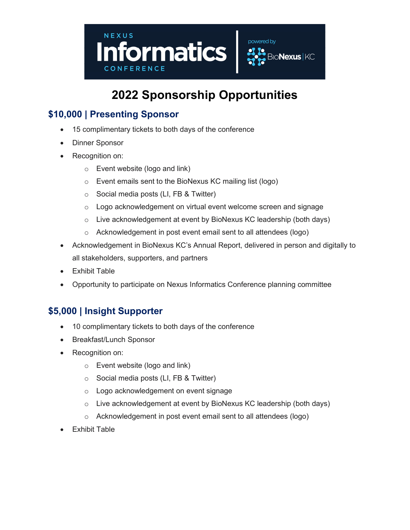

# 2022 Sponsorship Opportunities

### \$10,000 | Presenting Sponsor

- 15 complimentary tickets to both days of the conference
- Dinner Sponsor
- Recognition on:
	- o Event website (logo and link)
	- o Event emails sent to the BioNexus KC mailing list (logo)
	- $\circ$  Social media posts (LI, FB & Twitter)
	- o Logo acknowledgement on virtual event welcome screen and signage
	- o Live acknowledgement at event by BioNexus KC leadership (both days)
	- o Acknowledgement in post event email sent to all attendees (logo)
- Acknowledgement in BioNexus KC's Annual Report, delivered in person and digitally to all stakeholders, supporters, and partners
- Exhibit Table
- Opportunity to participate on Nexus Informatics Conference planning committee

#### \$5,000 | Insight Supporter

- 10 complimentary tickets to both days of the conference
- Breakfast/Lunch Sponsor
- Recognition on:
	- o Event website (logo and link)
	- o Social media posts (LI, FB & Twitter)
	- o Logo acknowledgement on event signage
	- o Live acknowledgement at event by BioNexus KC leadership (both days)
	- o Acknowledgement in post event email sent to all attendees (logo)
- Exhibit Table